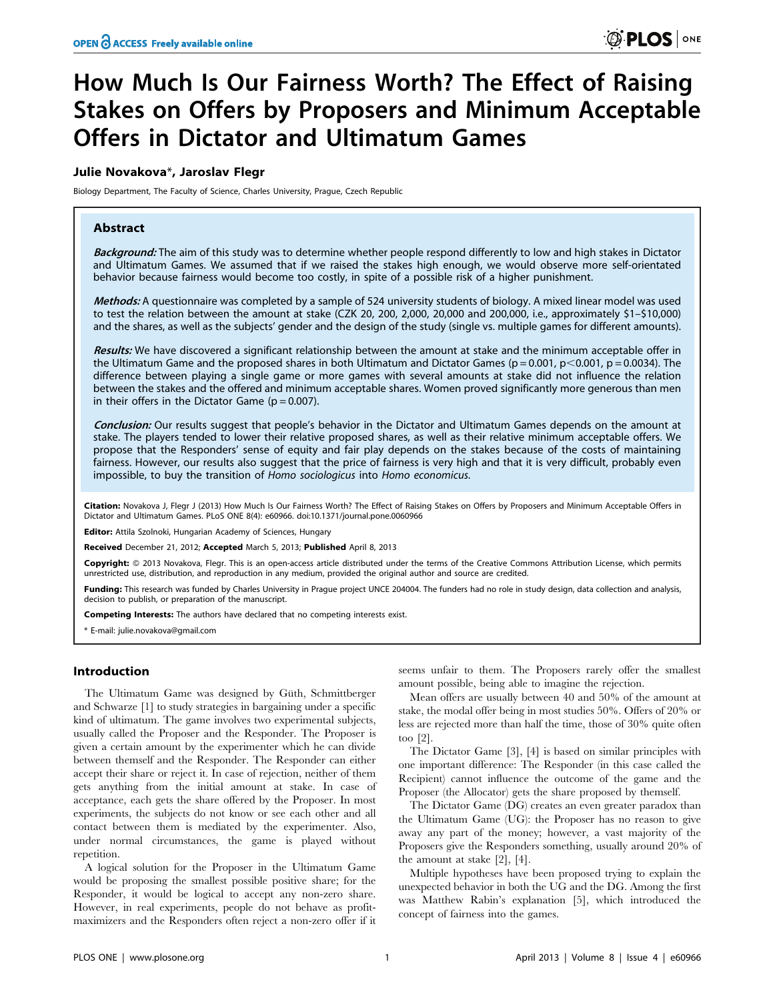# How Much Is Our Fairness Worth? The Effect of Raising Stakes on Offers by Proposers and Minimum Acceptable Offers in Dictator and Ultimatum Games

## Julie Novakova\*, Jaroslav Flegr

Biology Department, The Faculty of Science, Charles University, Prague, Czech Republic

# Abstract

Background: The aim of this study was to determine whether people respond differently to low and high stakes in Dictator and Ultimatum Games. We assumed that if we raised the stakes high enough, we would observe more self-orientated behavior because fairness would become too costly, in spite of a possible risk of a higher punishment.

Methods: A questionnaire was completed by a sample of 524 university students of biology. A mixed linear model was used to test the relation between the amount at stake (CZK 20, 200, 2,000, 20,000 and 200,000, i.e., approximately \$1–\$10,000) and the shares, as well as the subjects' gender and the design of the study (single vs. multiple games for different amounts).

Results: We have discovered a significant relationship between the amount at stake and the minimum acceptable offer in the Ultimatum Game and the proposed shares in both Ultimatum and Dictator Games ( $p = 0.001$ ,  $p < 0.001$ ,  $p = 0.0034$ ). The difference between playing a single game or more games with several amounts at stake did not influence the relation between the stakes and the offered and minimum acceptable shares. Women proved significantly more generous than men in their offers in the Dictator Game ( $p = 0.007$ ).

Conclusion: Our results suggest that people's behavior in the Dictator and Ultimatum Games depends on the amount at stake. The players tended to lower their relative proposed shares, as well as their relative minimum acceptable offers. We propose that the Responders' sense of equity and fair play depends on the stakes because of the costs of maintaining fairness. However, our results also suggest that the price of fairness is very high and that it is very difficult, probably even impossible, to buy the transition of Homo sociologicus into Homo economicus.

Citation: Novakova J, Flegr J (2013) How Much Is Our Fairness Worth? The Effect of Raising Stakes on Offers by Proposers and Minimum Acceptable Offers in Dictator and Ultimatum Games. PLoS ONE 8(4): e60966. doi:10.1371/journal.pone.0060966

Editor: Attila Szolnoki, Hungarian Academy of Sciences, Hungary

Received December 21, 2012; Accepted March 5, 2013; Published April 8, 2013

**Copyright:** © 2013 Novakova, Flegr. This is an open-access article distributed under the terms of the Creative Commons Attribution License, which permits unrestricted use, distribution, and reproduction in any medium, provided the original author and source are credited.

Funding: This research was funded by Charles University in Prague project UNCE 204004. The funders had no role in study design, data collection and analysis, decision to publish, or preparation of the manuscript.

Competing Interests: The authors have declared that no competing interests exist.

\* E-mail: julie.novakova@gmail.com

## Introduction

The Ultimatum Game was designed by Güth, Schmittberger and Schwarze [1] to study strategies in bargaining under a specific kind of ultimatum. The game involves two experimental subjects, usually called the Proposer and the Responder. The Proposer is given a certain amount by the experimenter which he can divide between themself and the Responder. The Responder can either accept their share or reject it. In case of rejection, neither of them gets anything from the initial amount at stake. In case of acceptance, each gets the share offered by the Proposer. In most experiments, the subjects do not know or see each other and all contact between them is mediated by the experimenter. Also, under normal circumstances, the game is played without repetition.

A logical solution for the Proposer in the Ultimatum Game would be proposing the smallest possible positive share; for the Responder, it would be logical to accept any non-zero share. However, in real experiments, people do not behave as profitmaximizers and the Responders often reject a non-zero offer if it seems unfair to them. The Proposers rarely offer the smallest amount possible, being able to imagine the rejection.

Mean offers are usually between 40 and 50% of the amount at stake, the modal offer being in most studies 50%. Offers of 20% or less are rejected more than half the time, those of 30% quite often too [2].

The Dictator Game [3], [4] is based on similar principles with one important difference: The Responder (in this case called the Recipient) cannot influence the outcome of the game and the Proposer (the Allocator) gets the share proposed by themself.

The Dictator Game (DG) creates an even greater paradox than the Ultimatum Game (UG): the Proposer has no reason to give away any part of the money; however, a vast majority of the Proposers give the Responders something, usually around 20% of the amount at stake [2], [4].

Multiple hypotheses have been proposed trying to explain the unexpected behavior in both the UG and the DG. Among the first was Matthew Rabin's explanation [5], which introduced the concept of fairness into the games.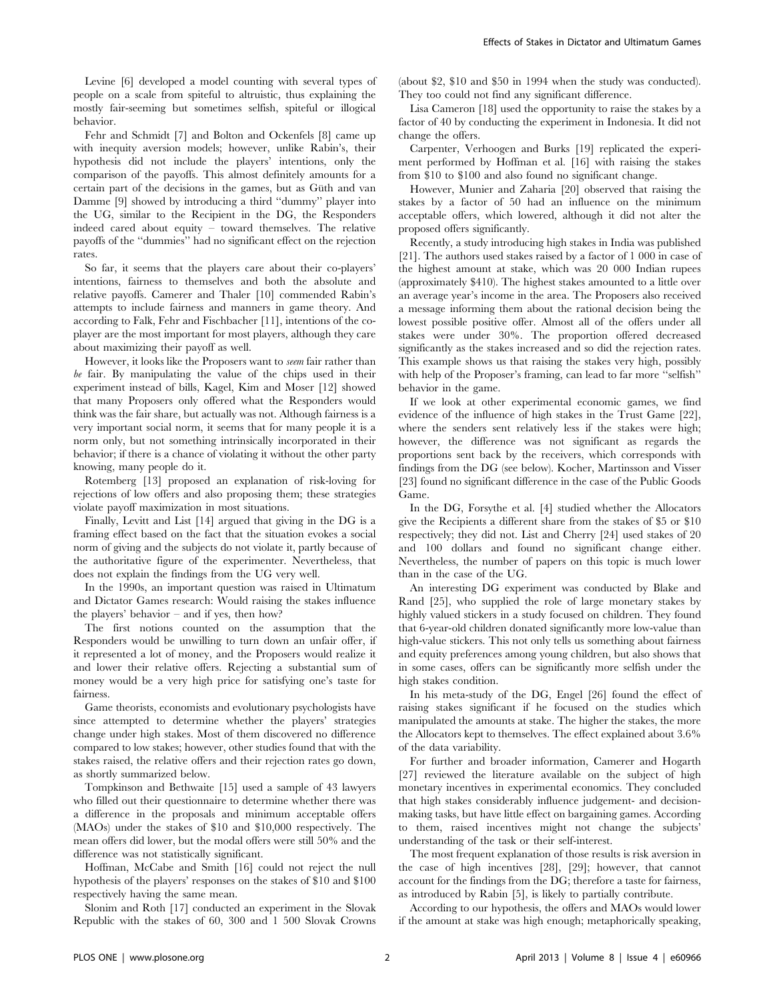Levine [6] developed a model counting with several types of people on a scale from spiteful to altruistic, thus explaining the mostly fair-seeming but sometimes selfish, spiteful or illogical behavior.

Fehr and Schmidt [7] and Bolton and Ockenfels [8] came up with inequity aversion models; however, unlike Rabin's, their hypothesis did not include the players' intentions, only the comparison of the payoffs. This almost definitely amounts for a certain part of the decisions in the games, but as Güth and van Damme [9] showed by introducing a third ''dummy'' player into the UG, similar to the Recipient in the DG, the Responders indeed cared about equity – toward themselves. The relative payoffs of the ''dummies'' had no significant effect on the rejection rates.

So far, it seems that the players care about their co-players' intentions, fairness to themselves and both the absolute and relative payoffs. Camerer and Thaler [10] commended Rabin's attempts to include fairness and manners in game theory. And according to Falk, Fehr and Fischbacher [11], intentions of the coplayer are the most important for most players, although they care about maximizing their payoff as well.

However, it looks like the Proposers want to seem fair rather than be fair. By manipulating the value of the chips used in their experiment instead of bills, Kagel, Kim and Moser [12] showed that many Proposers only offered what the Responders would think was the fair share, but actually was not. Although fairness is a very important social norm, it seems that for many people it is a norm only, but not something intrinsically incorporated in their behavior; if there is a chance of violating it without the other party knowing, many people do it.

Rotemberg [13] proposed an explanation of risk-loving for rejections of low offers and also proposing them; these strategies violate payoff maximization in most situations.

Finally, Levitt and List [14] argued that giving in the DG is a framing effect based on the fact that the situation evokes a social norm of giving and the subjects do not violate it, partly because of the authoritative figure of the experimenter. Nevertheless, that does not explain the findings from the UG very well.

In the 1990s, an important question was raised in Ultimatum and Dictator Games research: Would raising the stakes influence the players' behavior – and if yes, then how?

The first notions counted on the assumption that the Responders would be unwilling to turn down an unfair offer, if it represented a lot of money, and the Proposers would realize it and lower their relative offers. Rejecting a substantial sum of money would be a very high price for satisfying one's taste for fairness.

Game theorists, economists and evolutionary psychologists have since attempted to determine whether the players' strategies change under high stakes. Most of them discovered no difference compared to low stakes; however, other studies found that with the stakes raised, the relative offers and their rejection rates go down, as shortly summarized below.

Tompkinson and Bethwaite [15] used a sample of 43 lawyers who filled out their questionnaire to determine whether there was a difference in the proposals and minimum acceptable offers (MAOs) under the stakes of \$10 and \$10,000 respectively. The mean offers did lower, but the modal offers were still 50% and the difference was not statistically significant.

Hoffman, McCabe and Smith [16] could not reject the null hypothesis of the players' responses on the stakes of \$10 and \$100 respectively having the same mean.

Slonim and Roth [17] conducted an experiment in the Slovak Republic with the stakes of 60, 300 and 1 500 Slovak Crowns

(about \$2, \$10 and \$50 in 1994 when the study was conducted). They too could not find any significant difference.

Lisa Cameron [18] used the opportunity to raise the stakes by a factor of 40 by conducting the experiment in Indonesia. It did not change the offers.

Carpenter, Verhoogen and Burks [19] replicated the experiment performed by Hoffman et al. [16] with raising the stakes from \$10 to \$100 and also found no significant change.

However, Munier and Zaharia [20] observed that raising the stakes by a factor of 50 had an influence on the minimum acceptable offers, which lowered, although it did not alter the proposed offers significantly.

Recently, a study introducing high stakes in India was published [21]. The authors used stakes raised by a factor of 1 000 in case of the highest amount at stake, which was 20 000 Indian rupees (approximately \$410). The highest stakes amounted to a little over an average year's income in the area. The Proposers also received a message informing them about the rational decision being the lowest possible positive offer. Almost all of the offers under all stakes were under 30%. The proportion offered decreased significantly as the stakes increased and so did the rejection rates. This example shows us that raising the stakes very high, possibly with help of the Proposer's framing, can lead to far more ''selfish'' behavior in the game.

If we look at other experimental economic games, we find evidence of the influence of high stakes in the Trust Game [22], where the senders sent relatively less if the stakes were high; however, the difference was not significant as regards the proportions sent back by the receivers, which corresponds with findings from the DG (see below). Kocher, Martinsson and Visser [23] found no significant difference in the case of the Public Goods Game.

In the DG, Forsythe et al. [4] studied whether the Allocators give the Recipients a different share from the stakes of \$5 or \$10 respectively; they did not. List and Cherry [24] used stakes of 20 and 100 dollars and found no significant change either. Nevertheless, the number of papers on this topic is much lower than in the case of the UG.

An interesting DG experiment was conducted by Blake and Rand [25], who supplied the role of large monetary stakes by highly valued stickers in a study focused on children. They found that 6-year-old children donated significantly more low-value than high-value stickers. This not only tells us something about fairness and equity preferences among young children, but also shows that in some cases, offers can be significantly more selfish under the high stakes condition.

In his meta-study of the DG, Engel [26] found the effect of raising stakes significant if he focused on the studies which manipulated the amounts at stake. The higher the stakes, the more the Allocators kept to themselves. The effect explained about 3.6% of the data variability.

For further and broader information, Camerer and Hogarth [27] reviewed the literature available on the subject of high monetary incentives in experimental economics. They concluded that high stakes considerably influence judgement- and decisionmaking tasks, but have little effect on bargaining games. According to them, raised incentives might not change the subjects' understanding of the task or their self-interest.

The most frequent explanation of those results is risk aversion in the case of high incentives [28], [29]; however, that cannot account for the findings from the DG; therefore a taste for fairness, as introduced by Rabin [5], is likely to partially contribute.

According to our hypothesis, the offers and MAOs would lower if the amount at stake was high enough; metaphorically speaking,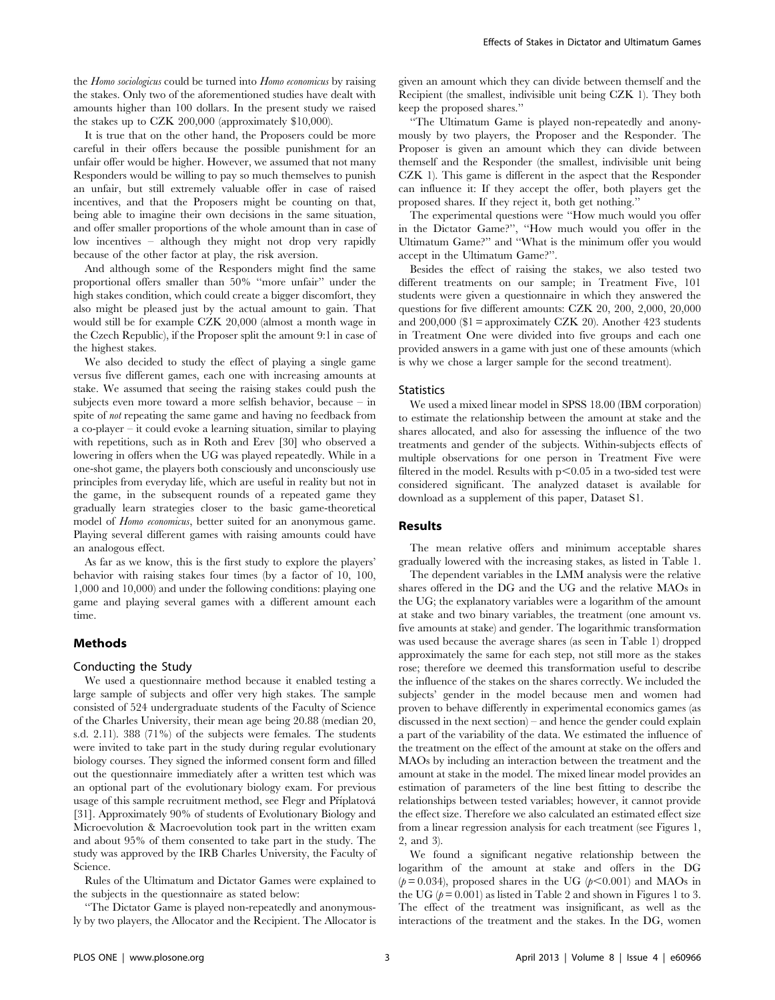the Homo sociologicus could be turned into Homo economicus by raising the stakes. Only two of the aforementioned studies have dealt with amounts higher than 100 dollars. In the present study we raised the stakes up to CZK 200,000 (approximately \$10,000).

It is true that on the other hand, the Proposers could be more careful in their offers because the possible punishment for an unfair offer would be higher. However, we assumed that not many Responders would be willing to pay so much themselves to punish an unfair, but still extremely valuable offer in case of raised incentives, and that the Proposers might be counting on that, being able to imagine their own decisions in the same situation, and offer smaller proportions of the whole amount than in case of low incentives – although they might not drop very rapidly because of the other factor at play, the risk aversion.

And although some of the Responders might find the same proportional offers smaller than 50% ''more unfair'' under the high stakes condition, which could create a bigger discomfort, they also might be pleased just by the actual amount to gain. That would still be for example CZK 20,000 (almost a month wage in the Czech Republic), if the Proposer split the amount 9:1 in case of the highest stakes.

We also decided to study the effect of playing a single game versus five different games, each one with increasing amounts at stake. We assumed that seeing the raising stakes could push the subjects even more toward a more selfish behavior, because – in spite of not repeating the same game and having no feedback from a co-player – it could evoke a learning situation, similar to playing with repetitions, such as in Roth and Erev [30] who observed a lowering in offers when the UG was played repeatedly. While in a one-shot game, the players both consciously and unconsciously use principles from everyday life, which are useful in reality but not in the game, in the subsequent rounds of a repeated game they gradually learn strategies closer to the basic game-theoretical model of Homo economicus, better suited for an anonymous game. Playing several different games with raising amounts could have an analogous effect.

As far as we know, this is the first study to explore the players' behavior with raising stakes four times (by a factor of 10, 100, 1,000 and 10,000) and under the following conditions: playing one game and playing several games with a different amount each time.

## Methods

#### Conducting the Study

We used a questionnaire method because it enabled testing a large sample of subjects and offer very high stakes. The sample consisted of 524 undergraduate students of the Faculty of Science of the Charles University, their mean age being 20.88 (median 20, s.d. 2.11). 388 (71%) of the subjects were females. The students were invited to take part in the study during regular evolutionary biology courses. They signed the informed consent form and filled out the questionnaire immediately after a written test which was an optional part of the evolutionary biology exam. For previous usage of this sample recruitment method, see Flegr and Příplatová [31]. Approximately 90% of students of Evolutionary Biology and Microevolution & Macroevolution took part in the written exam and about 95% of them consented to take part in the study. The study was approved by the IRB Charles University, the Faculty of Science.

Rules of the Ultimatum and Dictator Games were explained to the subjects in the questionnaire as stated below:

''The Dictator Game is played non-repeatedly and anonymously by two players, the Allocator and the Recipient. The Allocator is

given an amount which they can divide between themself and the Recipient (the smallest, indivisible unit being CZK 1). They both keep the proposed shares.''

''The Ultimatum Game is played non-repeatedly and anonymously by two players, the Proposer and the Responder. The Proposer is given an amount which they can divide between themself and the Responder (the smallest, indivisible unit being CZK 1). This game is different in the aspect that the Responder can influence it: If they accept the offer, both players get the proposed shares. If they reject it, both get nothing.''

The experimental questions were ''How much would you offer in the Dictator Game?'', ''How much would you offer in the Ultimatum Game?'' and ''What is the minimum offer you would accept in the Ultimatum Game?''.

Besides the effect of raising the stakes, we also tested two different treatments on our sample; in Treatment Five, 101 students were given a questionnaire in which they answered the questions for five different amounts: CZK 20, 200, 2,000, 20,000 and  $200,000$  (\$1 = approximately CZK 20). Another 423 students in Treatment One were divided into five groups and each one provided answers in a game with just one of these amounts (which is why we chose a larger sample for the second treatment).

#### **Statistics**

We used a mixed linear model in SPSS 18.00 (IBM corporation) to estimate the relationship between the amount at stake and the shares allocated, and also for assessing the influence of the two treatments and gender of the subjects. Within-subjects effects of multiple observations for one person in Treatment Five were filtered in the model. Results with  $p<0.05$  in a two-sided test were considered significant. The analyzed dataset is available for download as a supplement of this paper, Dataset S1.

## Results

The mean relative offers and minimum acceptable shares gradually lowered with the increasing stakes, as listed in Table 1.

The dependent variables in the LMM analysis were the relative shares offered in the DG and the UG and the relative MAOs in the UG; the explanatory variables were a logarithm of the amount at stake and two binary variables, the treatment (one amount vs. five amounts at stake) and gender. The logarithmic transformation was used because the average shares (as seen in Table 1) dropped approximately the same for each step, not still more as the stakes rose; therefore we deemed this transformation useful to describe the influence of the stakes on the shares correctly. We included the subjects' gender in the model because men and women had proven to behave differently in experimental economics games (as discussed in the next section) – and hence the gender could explain a part of the variability of the data. We estimated the influence of the treatment on the effect of the amount at stake on the offers and MAOs by including an interaction between the treatment and the amount at stake in the model. The mixed linear model provides an estimation of parameters of the line best fitting to describe the relationships between tested variables; however, it cannot provide the effect size. Therefore we also calculated an estimated effect size from a linear regression analysis for each treatment (see Figures 1, 2, and 3).

We found a significant negative relationship between the logarithm of the amount at stake and offers in the DG  $(p= 0.034)$ , proposed shares in the UG  $(p< 0.001)$  and MAOs in the UG  $(p= 0.001)$  as listed in Table 2 and shown in Figures 1 to 3. The effect of the treatment was insignificant, as well as the interactions of the treatment and the stakes. In the DG, women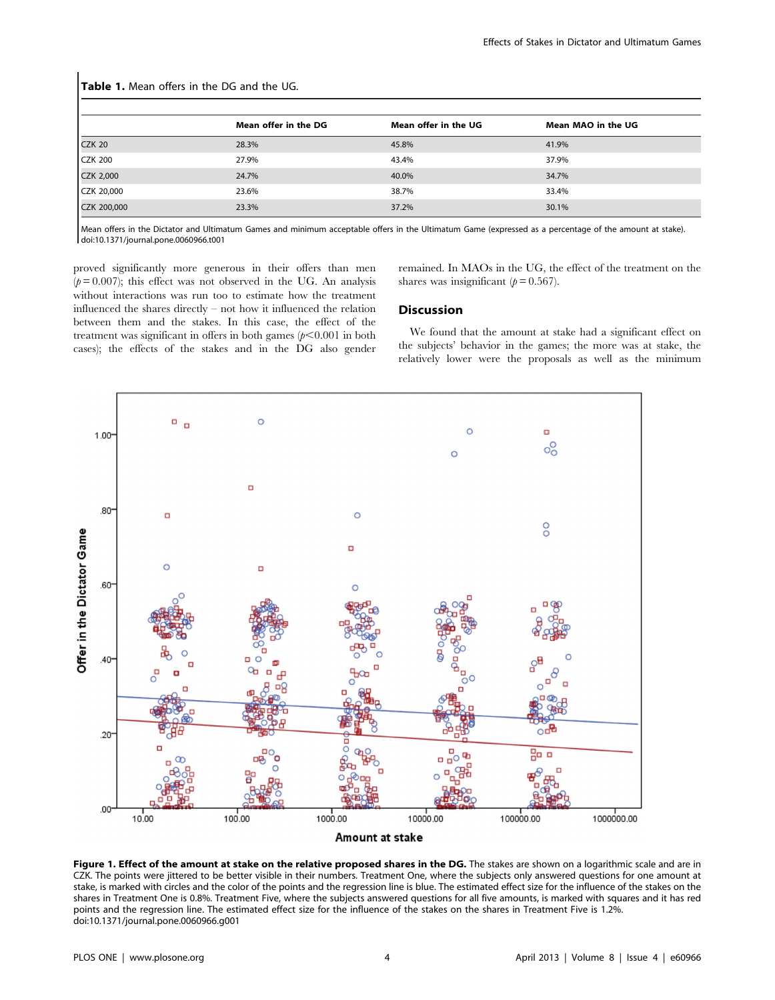| Table 1. Mean offers in the DG and the UG. |                      |                      |                    |  |  |  |  |  |
|--------------------------------------------|----------------------|----------------------|--------------------|--|--|--|--|--|
|                                            | Mean offer in the DG | Mean offer in the UG | Mean MAO in the UG |  |  |  |  |  |
| <b>CZK 20</b>                              | 28.3%                | 45.8%                | 41.9%              |  |  |  |  |  |
| <b>CZK 200</b>                             | 27.9%                | 43.4%                | 37.9%              |  |  |  |  |  |
| <b>CZK 2,000</b>                           | 24.7%                | 40.0%                | 34.7%              |  |  |  |  |  |
| CZK 20,000                                 | 23.6%                | 38.7%                | 33.4%              |  |  |  |  |  |
| CZK 200,000                                | 23.3%                | 37.2%                | 30.1%              |  |  |  |  |  |

Mean offers in the Dictator and Ultimatum Games and minimum acceptable offers in the Ultimatum Game (expressed as a percentage of the amount at stake).

doi:10.1371/journal.pone.0060966.t001

proved significantly more generous in their offers than men  $(p= 0.007)$ ; this effect was not observed in the UG. An analysis without interactions was run too to estimate how the treatment influenced the shares directly – not how it influenced the relation between them and the stakes. In this case, the effect of the treatment was significant in offers in both games  $(p<0.001$  in both cases); the effects of the stakes and in the DG also gender remained. In MAOs in the UG, the effect of the treatment on the shares was insignificant  $(p = 0.567)$ .

## Discussion

We found that the amount at stake had a significant effect on the subjects' behavior in the games; the more was at stake, the relatively lower were the proposals as well as the minimum



Figure 1. Effect of the amount at stake on the relative proposed shares in the DG. The stakes are shown on a logarithmic scale and are in CZK. The points were jittered to be better visible in their numbers. Treatment One, where the subjects only answered questions for one amount at stake, is marked with circles and the color of the points and the regression line is blue. The estimated effect size for the influence of the stakes on the shares in Treatment One is 0.8%. Treatment Five, where the subjects answered questions for all five amounts, is marked with squares and it has red points and the regression line. The estimated effect size for the influence of the stakes on the shares in Treatment Five is 1.2%. doi:10.1371/journal.pone.0060966.g001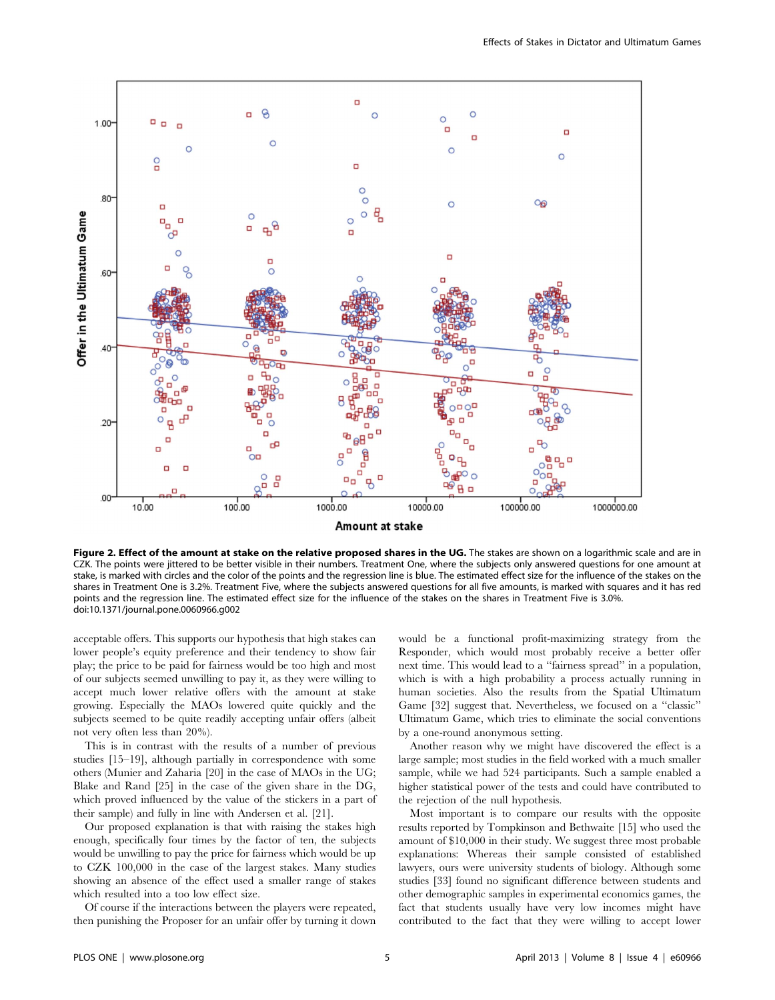

Figure 2. Effect of the amount at stake on the relative proposed shares in the UG. The stakes are shown on a logarithmic scale and are in CZK. The points were jittered to be better visible in their numbers. Treatment One, where the subjects only answered questions for one amount at stake, is marked with circles and the color of the points and the regression line is blue. The estimated effect size for the influence of the stakes on the shares in Treatment One is 3.2%. Treatment Five, where the subjects answered questions for all five amounts, is marked with squares and it has red points and the regression line. The estimated effect size for the influence of the stakes on the shares in Treatment Five is 3.0%. doi:10.1371/journal.pone.0060966.g002

acceptable offers. This supports our hypothesis that high stakes can lower people's equity preference and their tendency to show fair play; the price to be paid for fairness would be too high and most of our subjects seemed unwilling to pay it, as they were willing to accept much lower relative offers with the amount at stake growing. Especially the MAOs lowered quite quickly and the subjects seemed to be quite readily accepting unfair offers (albeit not very often less than 20%).

This is in contrast with the results of a number of previous studies [15–19], although partially in correspondence with some others (Munier and Zaharia [20] in the case of MAOs in the UG; Blake and Rand [25] in the case of the given share in the DG, which proved influenced by the value of the stickers in a part of their sample) and fully in line with Andersen et al. [21].

Our proposed explanation is that with raising the stakes high enough, specifically four times by the factor of ten, the subjects would be unwilling to pay the price for fairness which would be up to CZK 100,000 in the case of the largest stakes. Many studies showing an absence of the effect used a smaller range of stakes which resulted into a too low effect size.

Of course if the interactions between the players were repeated, then punishing the Proposer for an unfair offer by turning it down

would be a functional profit-maximizing strategy from the Responder, which would most probably receive a better offer next time. This would lead to a ''fairness spread'' in a population, which is with a high probability a process actually running in human societies. Also the results from the Spatial Ultimatum Game [32] suggest that. Nevertheless, we focused on a ''classic'' Ultimatum Game, which tries to eliminate the social conventions by a one-round anonymous setting.

Another reason why we might have discovered the effect is a large sample; most studies in the field worked with a much smaller sample, while we had 524 participants. Such a sample enabled a higher statistical power of the tests and could have contributed to the rejection of the null hypothesis.

Most important is to compare our results with the opposite results reported by Tompkinson and Bethwaite [15] who used the amount of \$10,000 in their study. We suggest three most probable explanations: Whereas their sample consisted of established lawyers, ours were university students of biology. Although some studies [33] found no significant difference between students and other demographic samples in experimental economics games, the fact that students usually have very low incomes might have contributed to the fact that they were willing to accept lower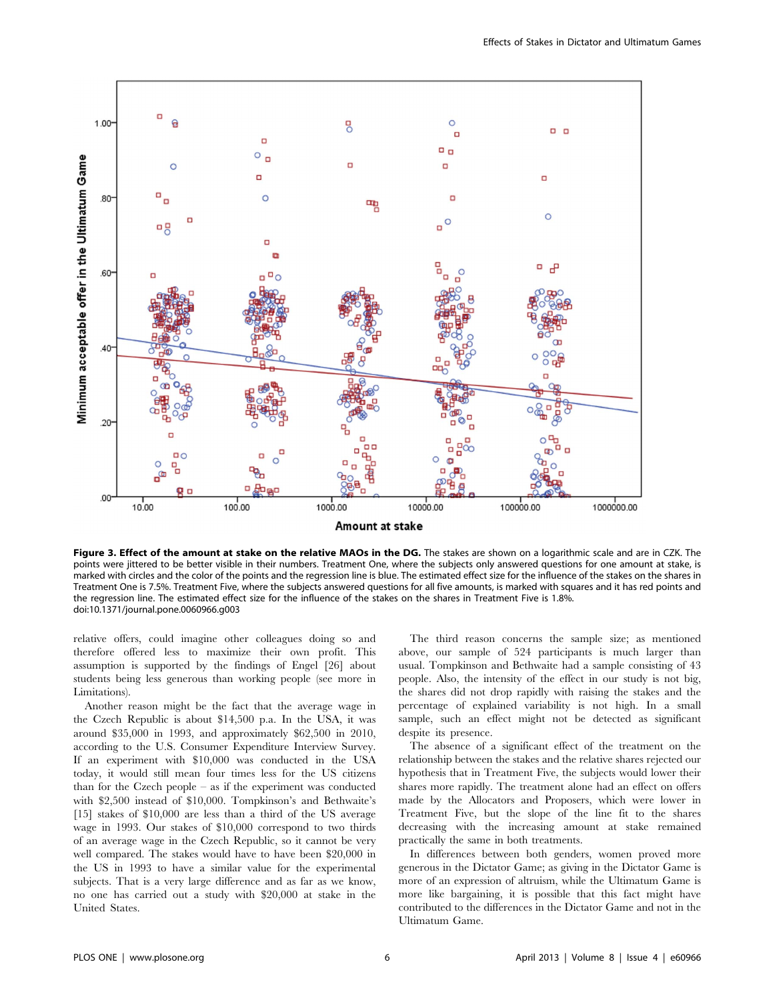

Figure 3. Effect of the amount at stake on the relative MAOs in the DG. The stakes are shown on a logarithmic scale and are in CZK. The points were jittered to be better visible in their numbers. Treatment One, where the subjects only answered questions for one amount at stake, is marked with circles and the color of the points and the regression line is blue. The estimated effect size for the influence of the stakes on the shares in Treatment One is 7.5%. Treatment Five, where the subjects answered questions for all five amounts, is marked with squares and it has red points and the regression line. The estimated effect size for the influence of the stakes on the shares in Treatment Five is 1.8%. doi:10.1371/journal.pone.0060966.g003

relative offers, could imagine other colleagues doing so and therefore offered less to maximize their own profit. This assumption is supported by the findings of Engel [26] about students being less generous than working people (see more in Limitations).

Another reason might be the fact that the average wage in the Czech Republic is about \$14,500 p.a. In the USA, it was around \$35,000 in 1993, and approximately \$62,500 in 2010, according to the U.S. Consumer Expenditure Interview Survey. If an experiment with \$10,000 was conducted in the USA today, it would still mean four times less for the US citizens than for the Czech people – as if the experiment was conducted with \$2,500 instead of \$10,000. Tompkinson's and Bethwaite's [15] stakes of \$10,000 are less than a third of the US average wage in 1993. Our stakes of \$10,000 correspond to two thirds of an average wage in the Czech Republic, so it cannot be very well compared. The stakes would have to have been \$20,000 in the US in 1993 to have a similar value for the experimental subjects. That is a very large difference and as far as we know, no one has carried out a study with \$20,000 at stake in the United States.

The third reason concerns the sample size; as mentioned above, our sample of 524 participants is much larger than usual. Tompkinson and Bethwaite had a sample consisting of 43 people. Also, the intensity of the effect in our study is not big, the shares did not drop rapidly with raising the stakes and the percentage of explained variability is not high. In a small sample, such an effect might not be detected as significant despite its presence.

The absence of a significant effect of the treatment on the relationship between the stakes and the relative shares rejected our hypothesis that in Treatment Five, the subjects would lower their shares more rapidly. The treatment alone had an effect on offers made by the Allocators and Proposers, which were lower in Treatment Five, but the slope of the line fit to the shares decreasing with the increasing amount at stake remained practically the same in both treatments.

In differences between both genders, women proved more generous in the Dictator Game; as giving in the Dictator Game is more of an expression of altruism, while the Ultimatum Game is more like bargaining, it is possible that this fact might have contributed to the differences in the Dictator Game and not in the Ultimatum Game.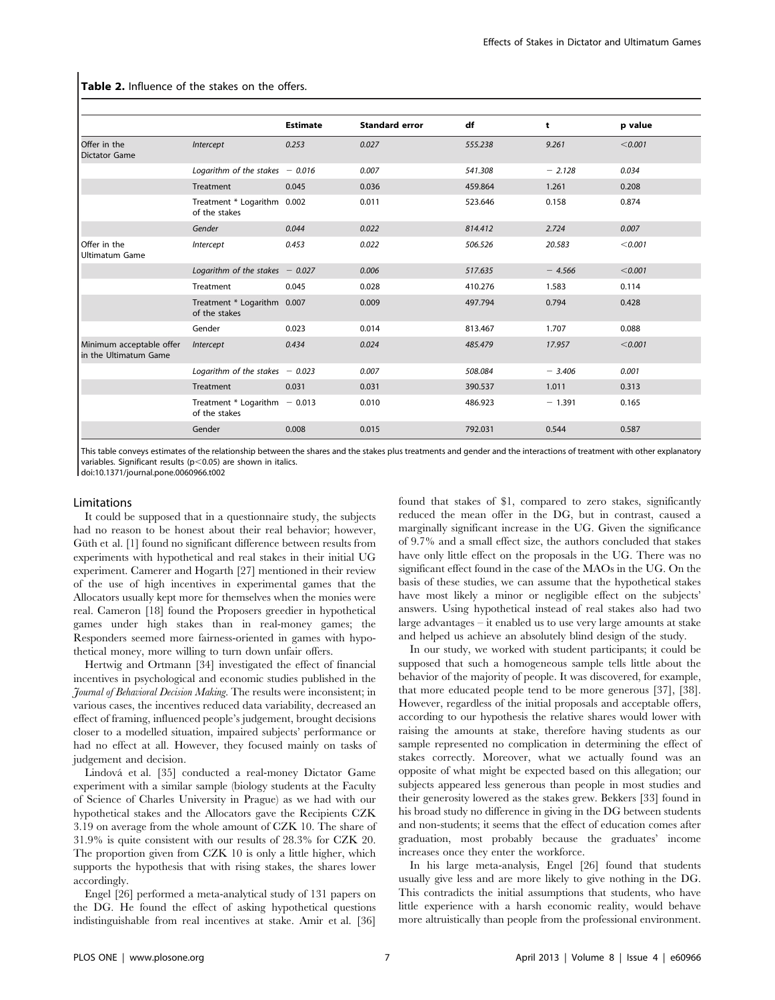|                                                   |                                                 | <b>Estimate</b> | <b>Standard error</b> | df      | t        | p value |
|---------------------------------------------------|-------------------------------------------------|-----------------|-----------------------|---------|----------|---------|
| Offer in the<br><b>Dictator Game</b>              | Intercept                                       | 0.253           | 0.027                 | 555.238 | 9.261    | < 0.001 |
|                                                   | Logarithm of the stakes $-0.016$                |                 | 0.007                 | 541.308 | $-2.128$ | 0.034   |
|                                                   | Treatment                                       | 0.045           | 0.036                 | 459.864 | 1.261    | 0.208   |
|                                                   | Treatment * Logarithm 0.002<br>of the stakes    |                 | 0.011                 | 523.646 | 0.158    | 0.874   |
|                                                   | Gender                                          | 0.044           | 0.022                 | 814.412 | 2.724    | 0.007   |
| Offer in the<br>Ultimatum Game                    | Intercept                                       | 0.453           | 0.022                 | 506.526 | 20.583   | < 0.001 |
|                                                   | Logarithm of the stakes $-0.027$                |                 | 0.006                 | 517.635 | $-4.566$ | < 0.001 |
|                                                   | Treatment                                       | 0.045           | 0.028                 | 410.276 | 1.583    | 0.114   |
|                                                   | Treatment * Logarithm 0.007<br>of the stakes    |                 | 0.009                 | 497.794 | 0.794    | 0.428   |
|                                                   | Gender                                          | 0.023           | 0.014                 | 813.467 | 1.707    | 0.088   |
| Minimum acceptable offer<br>in the Ultimatum Game | Intercept                                       | 0.434           | 0.024                 | 485.479 | 17.957   | < 0.001 |
|                                                   | Logarithm of the stakes $-0.023$                |                 | 0.007                 | 508.084 | $-3.406$ | 0.001   |
|                                                   | Treatment                                       | 0.031           | 0.031                 | 390.537 | 1.011    | 0.313   |
|                                                   | Treatment * Logarithm $-0.013$<br>of the stakes |                 | 0.010                 | 486.923 | $-1.391$ | 0.165   |
|                                                   | Gender                                          | 0.008           | 0.015                 | 792.031 | 0.544    | 0.587   |

#### Table 2. Influence of the stakes on the offers.

This table conveys estimates of the relationship between the shares and the stakes plus treatments and gender and the interactions of treatment with other explanatory variables. Significant results ( $p$ <0.05) are shown in italics.

doi:10.1371/journal.pone.0060966.t002

#### Limitations

It could be supposed that in a questionnaire study, the subjects had no reason to be honest about their real behavior; however, Güth et al. [1] found no significant difference between results from experiments with hypothetical and real stakes in their initial UG experiment. Camerer and Hogarth [27] mentioned in their review of the use of high incentives in experimental games that the Allocators usually kept more for themselves when the monies were real. Cameron [18] found the Proposers greedier in hypothetical games under high stakes than in real-money games; the Responders seemed more fairness-oriented in games with hypothetical money, more willing to turn down unfair offers.

Hertwig and Ortmann [34] investigated the effect of financial incentives in psychological and economic studies published in the Journal of Behavioral Decision Making. The results were inconsistent; in various cases, the incentives reduced data variability, decreased an effect of framing, influenced people's judgement, brought decisions closer to a modelled situation, impaired subjects' performance or had no effect at all. However, they focused mainly on tasks of judgement and decision.

Lindová et al. [35] conducted a real-money Dictator Game experiment with a similar sample (biology students at the Faculty of Science of Charles University in Prague) as we had with our hypothetical stakes and the Allocators gave the Recipients CZK 3.19 on average from the whole amount of CZK 10. The share of 31.9% is quite consistent with our results of 28.3% for CZK 20. The proportion given from CZK 10 is only a little higher, which supports the hypothesis that with rising stakes, the shares lower accordingly.

Engel [26] performed a meta-analytical study of 131 papers on the DG. He found the effect of asking hypothetical questions indistinguishable from real incentives at stake. Amir et al. [36]

found that stakes of \$1, compared to zero stakes, significantly reduced the mean offer in the DG, but in contrast, caused a marginally significant increase in the UG. Given the significance of 9.7% and a small effect size, the authors concluded that stakes have only little effect on the proposals in the UG. There was no significant effect found in the case of the MAOs in the UG. On the basis of these studies, we can assume that the hypothetical stakes have most likely a minor or negligible effect on the subjects' answers. Using hypothetical instead of real stakes also had two large advantages – it enabled us to use very large amounts at stake and helped us achieve an absolutely blind design of the study.

In our study, we worked with student participants; it could be supposed that such a homogeneous sample tells little about the behavior of the majority of people. It was discovered, for example, that more educated people tend to be more generous [37], [38]. However, regardless of the initial proposals and acceptable offers, according to our hypothesis the relative shares would lower with raising the amounts at stake, therefore having students as our sample represented no complication in determining the effect of stakes correctly. Moreover, what we actually found was an opposite of what might be expected based on this allegation; our subjects appeared less generous than people in most studies and their generosity lowered as the stakes grew. Bekkers [33] found in his broad study no difference in giving in the DG between students and non-students; it seems that the effect of education comes after graduation, most probably because the graduates' income increases once they enter the workforce.

In his large meta-analysis, Engel [26] found that students usually give less and are more likely to give nothing in the DG. This contradicts the initial assumptions that students, who have little experience with a harsh economic reality, would behave more altruistically than people from the professional environment.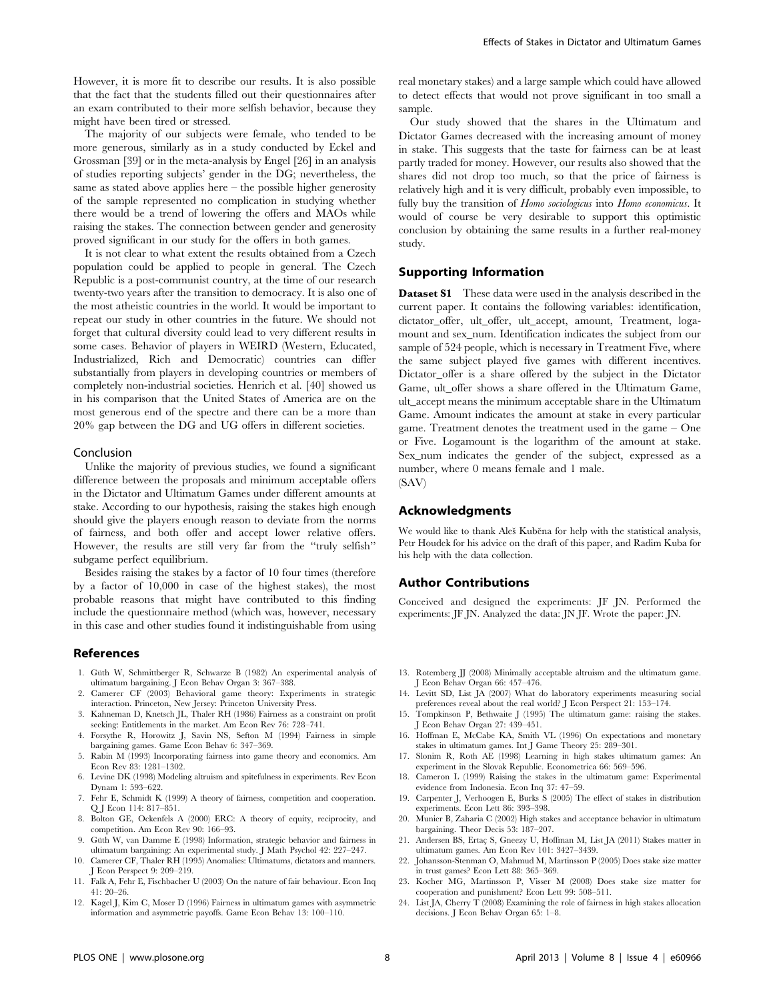However, it is more fit to describe our results. It is also possible that the fact that the students filled out their questionnaires after an exam contributed to their more selfish behavior, because they might have been tired or stressed.

The majority of our subjects were female, who tended to be more generous, similarly as in a study conducted by Eckel and Grossman [39] or in the meta-analysis by Engel [26] in an analysis of studies reporting subjects' gender in the DG; nevertheless, the same as stated above applies here – the possible higher generosity of the sample represented no complication in studying whether there would be a trend of lowering the offers and MAOs while raising the stakes. The connection between gender and generosity proved significant in our study for the offers in both games.

It is not clear to what extent the results obtained from a Czech population could be applied to people in general. The Czech Republic is a post-communist country, at the time of our research twenty-two years after the transition to democracy. It is also one of the most atheistic countries in the world. It would be important to repeat our study in other countries in the future. We should not forget that cultural diversity could lead to very different results in some cases. Behavior of players in WEIRD (Western, Educated, Industrialized, Rich and Democratic) countries can differ substantially from players in developing countries or members of completely non-industrial societies. Henrich et al. [40] showed us in his comparison that the United States of America are on the most generous end of the spectre and there can be a more than 20% gap between the DG and UG offers in different societies.

#### Conclusion

Unlike the majority of previous studies, we found a significant difference between the proposals and minimum acceptable offers in the Dictator and Ultimatum Games under different amounts at stake. According to our hypothesis, raising the stakes high enough should give the players enough reason to deviate from the norms of fairness, and both offer and accept lower relative offers. However, the results are still very far from the ''truly selfish'' subgame perfect equilibrium.

Besides raising the stakes by a factor of 10 four times (therefore by a factor of 10,000 in case of the highest stakes), the most probable reasons that might have contributed to this finding include the questionnaire method (which was, however, necessary in this case and other studies found it indistinguishable from using

### References

- 1. Güth W, Schmittberger R, Schwarze B (1982) An experimental analysis of ultimatum bargaining. J Econ Behav Organ 3: 367–388.
- 2. Camerer CF (2003) Behavioral game theory: Experiments in strategic interaction. Princeton, New Jersey: Princeton University Press.
- 3. Kahneman D, Knetsch JL, Thaler RH (1986) Fairness as a constraint on profit seeking: Entitlements in the market. Am Econ Rev 76: 728–741.
- 4. Forsythe R, Horowitz J, Savin NS, Sefton M (1994) Fairness in simple bargaining games. Game Econ Behav 6: 347–369.
- 5. Rabin M (1993) Incorporating fairness into game theory and economics. Am Econ Rev 83: 1281–1302.
- 6. Levine DK (1998) Modeling altruism and spitefulness in experiments. Rev Econ Dynam 1: 593–622.
- 7. Fehr E, Schmidt K (1999) A theory of fairness, competition and cooperation. Q J Econ 114: 817–851.
- 8. Bolton GE, Ockenfels A (2000) ERC: A theory of equity, reciprocity, and competition. Am Econ Rev 90: 166–93.
- 9. Güth W, van Damme E (1998) Information, strategic behavior and fairness in ultimatum bargaining: An experimental study. J Math Psychol 42: 227–247.
- 10. Camerer CF, Thaler RH (1995) Anomalies: Ultimatums, dictators and manners. J Econ Perspect 9: 209–219.
- 11. Falk A, Fehr E, Fischbacher U (2003) On the nature of fair behaviour. Econ Inq 41: 20–26.
- 12. Kagel J, Kim C, Moser D (1996) Fairness in ultimatum games with asymmetric information and asymmetric payoffs. Game Econ Behav 13: 100–110.

real monetary stakes) and a large sample which could have allowed to detect effects that would not prove significant in too small a sample.

Our study showed that the shares in the Ultimatum and Dictator Games decreased with the increasing amount of money in stake. This suggests that the taste for fairness can be at least partly traded for money. However, our results also showed that the shares did not drop too much, so that the price of fairness is relatively high and it is very difficult, probably even impossible, to fully buy the transition of Homo sociologicus into Homo economicus. It would of course be very desirable to support this optimistic conclusion by obtaining the same results in a further real-money study.

#### Supporting Information

Dataset S1 These data were used in the analysis described in the current paper. It contains the following variables: identification, dictator\_offer, ult\_offer, ult\_accept, amount, Treatment, logamount and sex\_num. Identification indicates the subject from our sample of 524 people, which is necessary in Treatment Five, where the same subject played five games with different incentives. Dictator\_offer is a share offered by the subject in the Dictator Game, ult\_offer shows a share offered in the Ultimatum Game, ult\_accept means the minimum acceptable share in the Ultimatum Game. Amount indicates the amount at stake in every particular game. Treatment denotes the treatment used in the game – One or Five. Logamount is the logarithm of the amount at stake. Sex\_num indicates the gender of the subject, expressed as a number, where 0 means female and 1 male. (SAV)

## Acknowledgments

We would like to thank Aleš Kuběna for help with the statistical analysis, Petr Houdek for his advice on the draft of this paper, and Radim Kuba for his help with the data collection.

#### Author Contributions

Conceived and designed the experiments: JF JN. Performed the experiments: JF JN. Analyzed the data: JN JF. Wrote the paper: JN.

- 13. Rotemberg JJ (2008) Minimally acceptable altruism and the ultimatum game. J Econ Behav Organ 66: 457–476.
- 14. Levitt SD, List JA (2007) What do laboratory experiments measuring social preferences reveal about the real world? J Econ Perspect 21: 153–174.
- 15. Tompkinson P, Bethwaite J (1995) The ultimatum game: raising the stakes. J Econ Behav Organ 27: 439–451.
- 16. Hoffman E, McCabe KA, Smith VL (1996) On expectations and monetary stakes in ultimatum games. Int J Game Theory 25: 289–301.
- 17. Slonim R, Roth AE (1998) Learning in high stakes ultimatum games: An experiment in the Slovak Republic. Econometrica 66: 569–596.
- 18. Cameron L (1999) Raising the stakes in the ultimatum game: Experimental evidence from Indonesia. Econ Inq 37: 47–59.
- 19. Carpenter J, Verhoogen E, Burks S (2005) The effect of stakes in distribution experiments. Econ Lett 86: 393–398.
- 20. Munier B, Zaharia C (2002) High stakes and acceptance behavior in ultimatum bargaining. Theor Decis 53: 187–207.
- 21. Andersen BS, Ertaç S, Gneezy U, Hoffman M, List JA (2011) Stakes matter in ultimatum games. Am Econ Rev 101: 3427–3439.
- 22. Johansson-Stenman O, Mahmud M, Martinsson P (2005) Does stake size matter in trust games? Econ Lett 88: 365–369.
- 23. Kocher MG, Martinsson P, Visser M (2008) Does stake size matter for cooperation and punishment? Econ Lett 99: 508–511.
- 24. List JA, Cherry T (2008) Examining the role of fairness in high stakes allocation decisions. J Econ Behav Organ 65: 1–8.